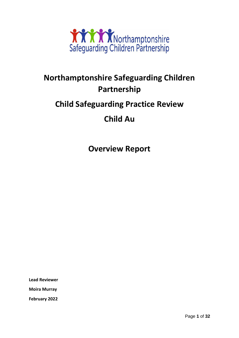

# **Northamptonshire Safeguarding Children Partnership**

## **Child Safeguarding Practice Review**

## **Child Au**

**Overview Report**

**Lead Reviewer**

**Moira Murray**

**February 2022**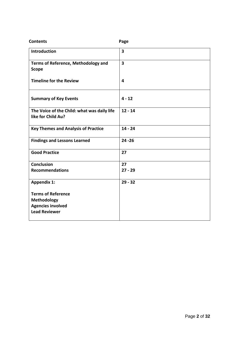| <b>Contents</b>                                                   | Page                    |
|-------------------------------------------------------------------|-------------------------|
| <b>Introduction</b>                                               | $\overline{\mathbf{3}}$ |
| <b>Terms of Reference, Methodology and</b><br><b>Scope</b>        | 3                       |
| <b>Timeline for the Review</b>                                    | 4                       |
| <b>Summary of Key Events</b>                                      | $4 - 12$                |
| The Voice of the Child: what was daily life<br>like for Child Au? | $12 - 14$               |
| <b>Key Themes and Analysis of Practice</b>                        | $14 - 24$               |
| <b>Findings and Lessons Learned</b>                               | $24 - 26$               |
| <b>Good Practice</b>                                              | 27                      |
| <b>Conclusion</b>                                                 | 27                      |
| <b>Recommendations</b>                                            | $27 - 29$               |
| <b>Appendix 1:</b>                                                | $29 - 32$               |
| <b>Terms of Reference</b>                                         |                         |
| <b>Methodology</b>                                                |                         |
| <b>Agencies involved</b><br><b>Lead Reviewer</b>                  |                         |
|                                                                   |                         |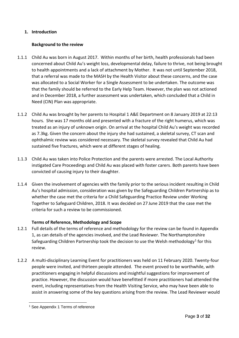## **1. Introduction**

## **Background to the review**

- 1.1.1 Child Au was born in August 2017. Within months of her birth, health professionals had been concerned about Child Au's weight loss, developmental delay, failure to thrive, not being brought to health appointments and a lack of attachment by Mother. It was not until September 2018, that a referral was made to the MASH by the Health Visitor about these concerns, and the case was allocated to a Social Worker for a Single Assessment to be undertaken. The outcome was that the family should be referred to the Early Help Team. However, the plan was not actioned and in December 2018, a further assessment was undertaken, which concluded that a Child in Need (CIN) Plan was appropriate.
- 1.1.2 Child Au was brought by her parents to Hospital 1 A&E Department on 8 January 2019 at 22:13 hours. She was 17 months old and presented with a fracture of the right humerus, which was treated as an injury of unknown origin. On arrival at the hospital Child Au's weight was recorded as 7.3kg. Given the concern about the injury she had sustained, a skeletal survey, CT scan and ophthalmic review was considered necessary. The skeletal survey revealed that Child Au had sustained five fractures, which were at different stages of healing.
- 1.1.3 Child Au was taken into Police Protection and the parents were arrested. The Local Authority instigated Care Proceedings and Child Au was placed with foster carers. Both parents have been convicted of causing injury to their daughter.
- 1.1.4 Given the involvement of agencies with the family prior to the serious incident resulting in Child Au's hospital admission, consideration was given by the Safeguarding Children Partnership as to whether the case met the criteria for a Child Safeguarding Practice Review under Working Together to Safeguard Children, 2018. It was decided on 27 June 2019 that the case met the criteria for such a review to be commissioned.

## **Terms of Reference, Methodology and Scope**

- 1.2.1 Full details of the terms of reference and methodology for the review can be found in Appendix 1, as can details of the agencies involved, and the Lead Reviewer. The Northamptonshire Safeguarding Children Partnership took the decision to use the Welsh methodology<sup>1</sup> for this review.
- 1.2.2 A multi-disciplinary Learning Event for practitioners was held on 11 February 2020. Twenty-four people were invited, and thirteen people attended. The event proved to be worthwhile, with practitioners engaging in helpful discussions and insightful suggestions for improvement of practice. However, the discussion would have benefitted if more practitioners had attended the event, including representatives from the Health Visiting Service, who may have been able to assist in answering some of the key questions arising from the review. The Lead Reviewer would

<sup>&</sup>lt;sup>1</sup> See Appendix 1 Terms of reference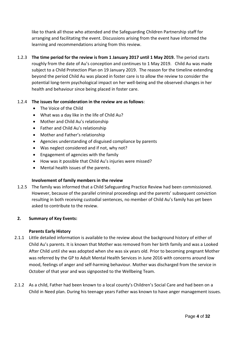like to thank all those who attended and the Safeguarding Children Partnership staff for arranging and facilitating the event. Discussions arising from the event have informed the learning and recommendations arising from this review.

1.2.3 **The time period for the review is from 1 January 2017 until 1 May 2019.** The period starts roughly from the date of Au's conception and continues to 1 May 2019. Child Au was made subject to a Child Protection Plan on 19 January 2019. The reason for the timeline extending beyond the period Child Au was placed in foster care is to allow the review to consider the potential long-term psychological impact on her well-being and the observed changes in her health and behaviour since being placed in foster care.

## 1.2.4 **The issues for consideration in the review are as follows**:

- The Voice of the Child
- What was a day like in the life of Child Au?
- Mother and Child Au's relationship
- Father and Child Au's relationship
- Mother and Father's relationship
- Agencies understanding of disguised compliance by parents
- Was neglect considered and if not, why not?
- Engagement of agencies with the family
- How was it possible that Child Au's injuries were missed?
- Mental health issues of the parents.

## **Involvement of family members in the review**

1.2.5 The family was informed that a Child Safeguarding Practice Review had been commissioned. However, because of the parallel criminal proceedings and the parents' subsequent conviction resulting in both receiving custodial sentences, no member of Child Au's family has yet been asked to contribute to the review.

## **2. Summary of Key Events:**

## **Parents Early History**

- 2.1.1 Little detailed information is available to the review about the background history of either of Child Au's parents. It is known that Mother was removed from her birth family and was a Looked After Child until she was adopted when she was six years old. Prior to becoming pregnant Mother was referred by the GP to Adult Mental Health Services in June 2016 with concerns around low mood, feelings of anger and self-harming behaviour. Mother was discharged from the service in October of that year and was signposted to the Wellbeing Team.
- 2.1.2 As a child, Father had been known to a local county's Children's Social Care and had been on a Child in Need plan. During his teenage years Father was known to have anger management issues.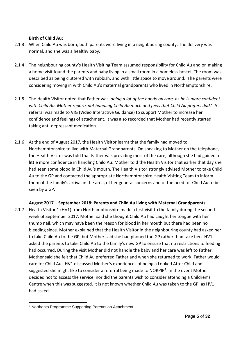## **Birth of Child Au**:

- 2.1.3 When Child Au was born, both parents were living in a neighbouring county. The delivery was normal, and she was a healthy baby.
- 2.1.4 The neighbouring county's Health Visiting Team assumed responsibility for Child Au and on making a home visit found the parents and baby living in a small room in a homeless hostel. The room was described as being cluttered with rubbish, and with little space to move around. The parents were considering moving in with Child Au's maternal grandparents who lived in Northamptonshire.
- 2.1.5 The Health Visitor noted that Father was '*doing a lot of the hands-on care, as he is more confident with Child Au. Mother reports not handling Child Au much and feels that Child Au prefers dad.*' A referral was made to VIG (Video Interactive Guidance) to support Mother to increase her confidence and feelings of attachment. It was also recorded that Mother had recently started taking anti-depressant medication.
- 2.1.6 At the end of August 2017, the Health Visitor learnt that the family had moved to Northamptonshire to live with Maternal Grandparents. On speaking to Mother on the telephone, the Health Visitor was told that Father was providing most of the care, although she had gained a little more confidence in handling Child Au. Mother told the Health Visitor that earlier that day she had seen some blood in Child Au's mouth. The Health Visitor strongly advised Mother to take Child Au to the GP and contacted the appropriate Northamptonshire Health Visiting Team to inform them of the family's arrival in the area, of her general concerns and of the need for Child Au to be seen by a GP.

**August 2017 – September 2018: Parents and Child Au living with Maternal Grandparents**

2.1.7 Health Visitor 1 (HV1) from Northamptonshire made a first visit to the family during the second week of September 2017. Mother said she thought Child Au had caught her tongue with her thumb nail, which may have been the reason for blood in her mouth but there had been no bleeding since. Mother explained that the Health Visitor in the neighbouring county had asked her to take Child Au to the GP, but Mother said she had phoned the GP rather than take her. HV1 asked the parents to take Child Au to the family's new GP to ensure that no restrictions to feeding had occurred. During the visit Mother did not handle the baby and her care was left to Father. Mother said she felt that Child Au preferred Father and when she returned to work, Father would care for Child Au. HV1 discussed Mother's experiences of being a Looked After Child and suggested she might like to consider a referral being made to NORPIP<sup>2</sup>. In the event Mother decided not to access the service, nor did the parents wish to consider attending a Children's Centre when this was suggested. It is not known whether Child Au was taken to the GP, as HV1 had asked.

<sup>2</sup> Northants Programme Supporting Parents on Attachment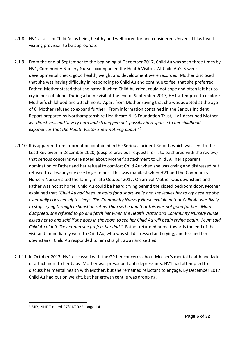- 2.1.8 HV1 assessed Child Au as being healthy and well-cared for and considered Universal Plus health visiting provision to be appropriate.
- 2.1.9 From the end of September to the beginning of December 2017, Child Au was seen three times by HV1, Community Nursery Nurse accompanied the Health Visitor. At Child Au's 6-week developmental check, good health, weight and development were recorded. Mother disclosed that she was having difficulty in responding to Child Au and continue to feel that she preferred Father. Mother stated that she hated it when Child Au cried, could not cope and often left her to cry in her cot alone. During a home visit at the end of September 2017, HV1 attempted to explore Mother's childhood and attachment. Apart from Mother saying that she was adopted at the age of 6, Mother refused to expand further. From information contained in the Serious Incident Report prepared by Northamptonshire Healthcare NHS Foundation Trust, HV1 described Mother as *"directive….and 'a very hard and strong person', possibly in response to her childhood experiences that the Health Visitor knew nothing about."<sup>3</sup>*
- 2.1.10 It is apparent from information contained in the Serious Incident Report, which was sent to the Lead Reviewer in December 2020, (despite previous requests for it to be shared with the review) that serious concerns were noted about Mother's attachment to Child Au, her apparent domination of Father and her refusal to comfort Child Au when she was crying and distressed but refused to allow anyone else to go to her. This was manifest when HV1 and the Community Nursery Nurse visited the family in late October 2017. On arrival Mother was downstairs and Father was not at home. Child Au could be heard crying behind the closed bedroom door. Mother explained that *"Child Au had been upstairs for a short while and she leaves her to cry because she eventually cries herself to sleep. The Community Nursery Nurse explained that Child Au was likely to stop crying through exhaustion rather than settle and that this was not good for her. Mum disagreed, she refused to go and fetch her when the Health Visitor and Community Nursery Nurse asked her to and said if she goes in the room to see her Child Au will begin crying again. Mum said Child Au didn't like her and she prefers her dad."* Father returned home towards the end of the visit and immediately went to Child Au, who was still distressed and crying, and fetched her downstairs. Child Au responded to him straight away and settled.
- 2.1.11 In October 2017, HV1 discussed with the GP her concerns about Mother's mental health and lack of attachment to her baby. Mother was prescribed anti-depressants. HV1 had attempted to discuss her mental health with Mother, but she remained reluctant to engage. By December 2017, Child Au had put on weight, but her growth centile was dropping.

<sup>3</sup> SIR, NHFT dated 27/01/2022, page 14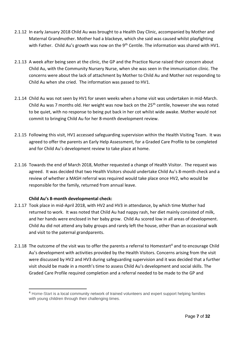- 2.1.12 In early January 2018 Child Au was brought to a Health Day Clinic, accompanied by Mother and Maternal Grandmother. Mother had a blackeye, which she said was caused whilst playfighting with Father. Child Au's growth was now on the 9<sup>th</sup> Centile. The information was shared with HV1.
- 2.1.13 A week after being seen at the clinic, the GP and the Practice Nurse raised their concern about Child Au, with the Community Nursery Nurse, when she was seen in the immunisation clinic. The concerns were about the lack of attachment by Mother to Child Au and Mother not responding to Child Au when she cried. The information was passed to HV1.
- 2.1.14 Child Au was not seen by HV1 for seven weeks when a home visit was undertaken in mid-March. Child Au was 7 months old. Her weight was now back on the 25<sup>th</sup> centile, however she was noted to be quiet, with no response to being put back in her cot whilst wide awake. Mother would not commit to bringing Child Au for her 8-month development review.
- 2.1.15 Following this visit, HV1 accessed safeguarding supervision within the Health Visiting Team. It was agreed to offer the parents an Early Help Assessment, for a Graded Care Profile to be completed and for Child Au's development review to take place at home.
- 2.1.16 Towards the end of March 2018, Mother requested a change of Health Visitor. The request was agreed. It was decided that two Health Visitors should undertake Child Au's 8-month check and a review of whether a MASH referral was required would take place once HV2, who would be responsible for the family, returned from annual leave.

## **Child Au's 8-month developmental check:**

- 2.1.17 Took place in mid-April 2018, with HV2 and HV3 in attendance, by which time Mother had returned to work. It was noted that Child Au had nappy rash, her diet mainly consisted of milk, and her hands were enclosed in her baby grow. Child Au scored low in all areas of development. Child Au did not attend any baby groups and rarely left the house, other than an occasional walk and visit to the paternal grandparents.
- 2.1.18 The outcome of the visit was to offer the parents a referral to Homestart<sup>4</sup> and to encourage Child Au's development with activities provided by the Health Visitors. Concerns arising from the visit were discussed by HV2 and HV3 during safeguarding supervision and it was decided that a further visit should be made in a month's time to assess Child Au's development and social skills. The Graded Care Profile required completion and a referral needed to be made to the GP and

<sup>4</sup> Home-Start is a local community network of trained volunteers and expert support helping families with young children through their challenging times.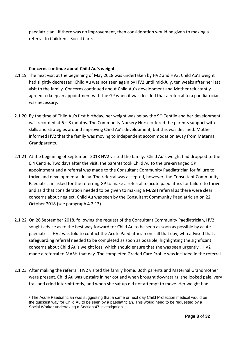paediatrician. If there was no improvement, then consideration would be given to making a referral to Children's Social Care.

## **Concerns continue about Child Au's weight**

- 2.1.19 The next visit at the beginning of May 2018 was undertaken by HV2 and HV3. Child Au's weight had slightly decreased. Child Au was not seen again by HV2 until mid-July, ten weeks after her last visit to the family. Concerns continued about Child Au's development and Mother reluctantly agreed to keep an appointment with the GP when it was decided that a referral to a paediatrician was necessary.
- 2.1.20 By the time of Child Au's first birthday, her weight was below the 9<sup>th</sup> Centile and her development was recorded at 6 – 8 months. The Community Nursery Nurse offered the parents support with skills and strategies around improving Child Au's development, but this was declined. Mother informed HV2 that the family was moving to independent accommodation away from Maternal Grandparents.
- 2.1.21 At the beginning of September 2018 HV2 visited the family. Child Au's weight had dropped to the 0.4 Centile. Two days after the visit, the parents took Child Au to the pre-arranged GP appointment and a referral was made to the Consultant Community Paediatrician for failure to thrive and developmental delay. The referral was accepted, however, the Consultant Community Paediatrician asked for the referring GP to make a referral to acute paediatrics for failure to thrive and said that consideration needed to be given to making a MASH referral as there were clear concerns about neglect. Child Au was seen by the Consultant Community Paediatrician on 22 October 2018 (see paragraph 4.2.13).
- 2.1.22 On 26 September 2018, following the request of the Consultant Community Paediatrician, HV2 sought advice as to the best way forward for Child Au to be seen as soon as possible by acute paediatrics. HV2 was told to contact the Acute Paediatrician on call that day, who advised that a safeguarding referral needed to be completed as soon as possible, highlighting the significant concerns about Child Au's weight loss, which should ensure that she was seen urgently<sup>5</sup>. HV2 made a referral to MASH that day. The completed Graded Care Profile was included in the referral.
- 2.1.23 After making the referral, HV2 visited the family home. Both parents and Maternal Grandmother were present. Child Au was upstairs in her cot and when brought downstairs, she looked pale, very frail and cried intermittently, and when she sat up did not attempt to move. Her weight had

<sup>&</sup>lt;sup>5</sup> The Acute Paediatrician was suggesting that a same or next day Child Protection medical would be the quickest way for Child Au to be seen by a paediatrician. This would need to be requested by a Social Worker undertaking a Section 47 investigation.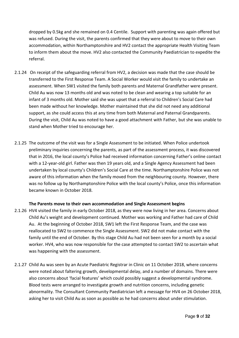dropped by 0.5kg and she remained on 0.4 Centile. Support with parenting was again offered but was refused. During the visit, the parents confirmed that they were about to move to their own accommodation, within Northamptonshire and HV2 contact the appropriate Health Visiting Team to inform them about the move. HV2 also contacted the Community Paediatrician to expedite the referral.

- 2.1.24 On receipt of the safeguarding referral from HV2, a decision was made that the case should be transferred to the First Response Team. A Social Worker would visit the family to undertake an assessment. When SW1 visited the family both parents and Maternal Grandfather were present. Child Au was now 13 months old and was noted to be clean and wearing a top suitable for an infant of 3 months old. Mother said she was upset that a referral to Children's Social Care had been made without her knowledge. Mother maintained that she did not need any additional support, as she could access this at any time from both Maternal and Paternal Grandparents. During the visit, Child Au was noted to have a good attachment with Father, but she was unable to stand when Mother tried to encourage her.
- 2.1.25 The outcome of the visit was for a Single Assessment to be initiated. When Police undertook preliminary inquiries concerning the parents, as part of the assessment process, it was discovered that in 2016, the local county's Police had received information concerning Father's online contact with a 12-year-old girl. Father was then 19 years old, and a Single Agency Assessment had been undertaken by local county's Children's Social Care at the time. Northamptonshire Police was not aware of this information when the family moved from the neighbouring county. However, there was no follow up by Northamptonshire Police with the local county's Police, once this information became known in October 2018.

## **The Parents move to their own accommodation and Single Assessment begins**

- 2.1.26 HV4 visited the family in early October 2018, as they were now living in her area. Concerns about Child Au's weight and development continued. Mother was working and Father had care of Child Au. At the beginning of October 2018, SW1 left the First Response Team, and the case was reallocated to SW2 to commence the Single Assessment. SW2 did not make contact with the family until the end of October. By this stage Child Au had not been seen for a month by a social worker. HV4, who was now responsible for the case attempted to contact SW2 to ascertain what was happening with the assessment.
- 2.1.27 Child Au was seen by an Acute Paediatric Registrar in Clinic on 11 October 2018, where concerns were noted about faltering growth, developmental delay, and a number of domains. There were also concerns about 'facial features' which could possibly suggest a developmental syndrome. Blood tests were arranged to investigate growth and nutrition concerns, including genetic abnormality. The Consultant Community Paediatrician left a message for HV4 on 26 October 2018, asking her to visit Child Au as soon as possible as he had concerns about under stimulation.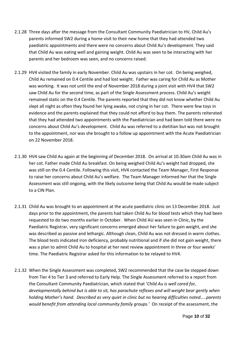- 2.1.28 Three days after the message from the Consultant Community Paediatrician to HV, Child Au's parents informed SW2 during a home visit to their new home that they had attended two paediatric appointments and there were no concerns about Child Au's development. They said that Child Au was eating well and gaining weight. Child Au was seen to be interacting with her parents and her bedroom was seen, and no concerns raised.
- 2.1.29 HV4 visited the family in early November. Child Au was upstairs in her cot. On being weighed, Child Au remained on 0.4 Centile and had lost weight. Father was caring for Child Au as Mother was working. It was not until the end of November 2018 during a joint visit with HV4 that SW2 saw Child Au for the second time, as part of the Single Assessment process. Child Au's weight remained static on the 0.4 Centile. The parents reported that they did not know whether Child Au slept all night as often they found her lying awake, not crying in her cot. There were few toys in evidence and the parents explained that they could not afford to buy them. The parents reiterated that they had attended two appointments with the Paediatrician and had been told there were no concerns about Child Au's development. Child Au was referred to a dietitian but was not brought to the appointment, nor was she brought to a follow up appointment with the Acute Paediatrician on 22 November 2018.
- 2.1.30 HV4 saw Child Au again at the beginning of December 2018. On arrival at 10.30am Child Au was in her cot. Father made Child Au breakfast. On being weighed Child Au's weight had dropped, she was still on the 0.4 Centile. Following this visit, HV4 contacted the Team Manager, First Response to raise her concerns about Child Au's welfare. The Team Manager informed her that the Single Assessment was still ongoing, with the likely outcome being that Child Au would be made subject to a CIN Plan.
- 2.1.31 Child Au was brought to an appointment at the acute paediatric clinic on 13 December 2018. Just days prior to the appointment, the parents had taken Child Au for blood tests which they had been requested to do two months earlier in October. When Child AU was seen in Clinic, by the Paediatric Registrar, very significant concerns emerged about her failure to gain weight, and she was described as passive and lethargic. Although clean, Child Au was not dressed in warm clothes. The blood tests indicated iron deficiency, probably nutritional and if she did not gain weight, there was a plan to admit Child Au to hospital at her next review appointment in three or four weeks' time. The Paediatric Registrar asked for this information to be relayed to HV4.
- 2.1.32 When the Single Assessment was completed, SW2 recommended that the case be stepped down from Tier 4 to Tier 3 and referred to Early Help. The Single Assessment referred to a report from the Consultant Community Paediatrician, which stated that '*Child Au is well cared for, developmentally behind but is able to sit, has parachute reflexes and will weight bear gently when holding Mother's hand. Described as very quiet in clinic but no hearing difficulties noted…..parents would benefit from attending local community family groups.'* On receipt of the assessment, the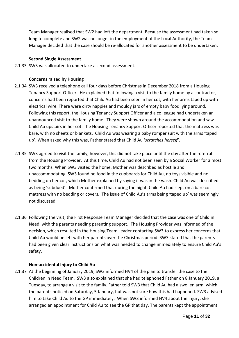Team Manager realised that SW2 had left the department. Because the assessment had taken so long to complete and SW2 was no longer in the employment of the Local Authority, the Team Manager decided that the case should be re-allocated for another assessment to be undertaken.

#### **Second Single Assessment**

2.1.33 SW3 was allocated to undertake a second assessment.

#### **Concerns raised by Housing**

- 2.1.34 SW3 received a telephone call four days before Christmas in December 2018 from a Housing Tenancy Support Officer. He explained that following a visit to the family home by a contractor, concerns had been reported that Child Au had been seen in her cot, with her arms taped up with electrical wire. There were dirty nappies and mouldy jars of empty baby food lying around. Following this report, the Housing Tenancy Support Officer and a colleague had undertaken an unannounced visit to the family home. They were shown around the accommodation and saw Child Au upstairs in her cot. The Housing Tenancy Support Officer reported that the mattress was bare, with no sheets or blankets. Child Au was wearing a baby romper suit with the arms 'taped up'. When asked why this was, Father stated that Child Au '*scratches herself'*.
- 2.1.35 SW3 agreed to visit the family, however, this did not take place until the day after the referral from the Housing Provider. At this time, Child Au had not been seen by a Social Worker for almost two months. When SW3 visited the home, Mother was described as hostile and unaccommodating. SW3 found no food in the cupboards for Child Au, no toys visible and no bedding on her cot, which Mother explained by saying it was in the wash. Child Au was described as being 'subdued'. Mother confirmed that during the night, Child Au had slept on a bare cot mattress with no bedding or covers. The issue of Child Au's arms being 'taped up' was seemingly not discussed.
- 2.1.36 Following the visit, the First Response Team Manager decided that the case was one of Child in Need, with the parents needing parenting support. The Housing Provider was informed of the decision, which resulted in the Housing Team Leader contacting SW3 to express her concerns that Child Au would be left with her parents over the Christmas period. SW3 stated that the parents had been given clear instructions on what was needed to change immediately to ensure Child Au's safety.

#### **Non-accidental Injury to Child Au**

2.1.37 At the beginning of January 2019, SW3 informed HV4 of the plan to transfer the case to the Children in Need Team. SW3 also explained that she had telephoned Father on 8 January 2019, a Tuesday, to arrange a visit to the family. Father told SW3 that Child Au had a swollen arm, which the parents noticed on Saturday, 5 January, but was not sure how this had happened. SW3 advised him to take Child Au to the GP immediately. When SW3 informed HV4 about the injury, she arranged an appointment for Child Au to see the GP that day. The parents kept the appointment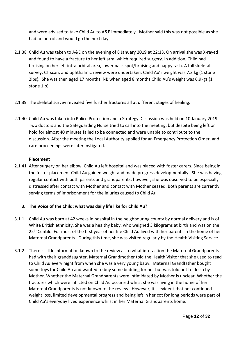and were advised to take Child Au to A&E immediately. Mother said this was not possible as she had no petrol and would go the next day.

- 2.1.38 Child Au was taken to A&E on the evening of 8 January 2019 at 22:13. On arrival she was X-rayed and found to have a fracture to her left arm, which required surgery. In addition, Child had bruising on her left intra orbital area, lower back spot/bruising and nappy rash. A full skeletal survey, CT scan, and ophthalmic review were undertaken. Child Au's weight was 7.3 kg (1 stone 2lbs). She was then aged 17 months. NB when aged 8 months Child Au's weight was 6.9kgs (1 stone 1lb).
- 2.1.39 The skeletal survey revealed five further fractures all at different stages of healing.
- 2.1.40 Child Au was taken into Police Protection and a Strategy Discussion was held on 10 January 2019. Two doctors and the Safeguarding Nurse tried to call into the meeting, but despite being left on hold for almost 40 minutes failed to be connected and were unable to contribute to the discussion. After the meeting the Local Authority applied for an Emergency Protection Order, and care proceedings were later instigated.

## **Placement**

2.1.41 After surgery on her elbow, Child Au left hospital and was placed with foster carers. Since being in the foster placement Child Au gained weight and made progress developmentally. She was having regular contact with both parents and grandparents; however, she was observed to be especially distressed after contact with Mother and contact with Mother ceased. Both parents are currently serving terms of imprisonment for the injuries caused to Child Au

## **3. The Voice of the Child: what was daily life like for Child Au?**

- 3.1.1 Child Au was born at 42 weeks in hospital in the neighbouring county by normal delivery and is of White British ethnicity. She was a healthy baby, who weighed 3 kilograms at birth and was on the 25<sup>th</sup> Centile. For most of the first year of her life Child Au lived with her parents in the home of her Maternal Grandparents. During this time, she was visited regularly by the Health Visiting Service.
- 3.1.2 There is little information known to the review as to what interaction the Maternal Grandparents had with their granddaughter. Maternal Grandmother told the Health Visitor that she used to read to Child Au every night from when she was a very young baby. Maternal Grandfather bought some toys for Child Au and wanted to buy some bedding for her but was told not to do so by Mother. Whether the Maternal Grandparents were intimidated by Mother is unclear. Whether the fractures which were inflicted on Child Au occurred whilst she was living in the home of her Maternal Grandparents is not known to the review. However, it is evident that her continued weight loss, limited developmental progress and being left in her cot for long periods were part of Child Au's everyday lived experience whilst in her Maternal Grandparents home.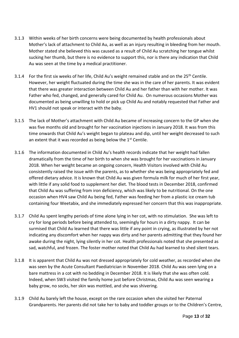- 3.1.3 Within weeks of her birth concerns were being documented by health professionals about Mother's lack of attachment to Child Au, as well as an injury resulting in bleeding from her mouth. Mother stated she believed this was caused as a result of Child Au scratching her tongue whilst sucking her thumb, but there is no evidence to support this, nor is there any indication that Child Au was seen at the time by a medical practitioner.
- 3.1.4 For the first six weeks of her life, Child Au's weight remained stable and on the 25<sup>th</sup> Centile. However, her weight fluctuated during the time she was in the care of her parents. It was evident that there was greater interaction between Child Au and her father than with her mother. It was Father who fed, changed, and generally cared for Child Au. On numerous occasions Mother was documented as being unwilling to hold or pick up Child Au and notably requested that Father and HV1 should not speak or interact with the baby.
- 3.1.5 The lack of Mother's attachment with Child Au became of increasing concern to the GP when she was five months old and brought for her vaccination injections in January 2018. It was from this time onwards that Child Au's weight began to plateau and dip, until her weight decreased to such an extent that it was recorded as being below the  $1<sup>st</sup>$  Centile.
- 3.1.6 The information documented in Child Au's health records indicate that her weight had fallen dramatically from the time of her birth to when she was brought for her vaccinations in January 2018. When her weight became an ongoing concern, Health Visitors involved with Child Au consistently raised the issue with the parents, as to whether she was being appropriately fed and offered dietary advice. It is known that Child Au was given formula milk for much of her first year, with little if any solid food to supplement her diet. The blood tests in December 2018, confirmed that Child Au was suffering from iron deficiency, which was likely to be nutritional. On the one occasion when HV4 saw Child Au being fed, Father was feeding her from a plastic ice cream tub containing four Weetabix, and she immediately expressed her concern that this was inappropriate.
- 3.1.7 Child Au spent lengthy periods of time alone lying in her cot, with no stimulation. She was left to cry for long periods before being attended to, seemingly for hours in a dirty nappy. It can be surmised that Child Au learned that there was little if any point in crying, as illustrated by her not indicating any discomfort when her nappy was dirty and her parents admitting that they found her awake during the night, lying silently in her cot. Health professionals noted that she presented as sad, watchful, and frozen. The foster mother noted that Child Au had learned to shed silent tears.
- 3.1.8 It is apparent that Child Au was not dressed appropriately for cold weather, as recorded when she was seen by the Acute Consultant Paediatrician in November 2018. Child Au was seen lying on a bare mattress in a cot with no bedding in December 2018. It is likely that she was often cold. Indeed, when SW3 visited the family home just before Christmas, Child Au was seen wearing a baby grow, no socks, her skin was mottled, and she was shivering.
- 3.1.9 Child Au barely left the house, except on the rare occasion when she visited her Paternal Grandparents. Her parents did not take her to baby and toddler groups or to the Children's Centre,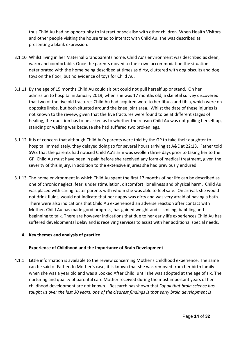thus Child Au had no opportunity to interact or socialise with other children. When Health Visitors and other people visiting the house tried to interact with Child Au, she was described as presenting a blank expression.

- 3.1.10 Whilst living in her Maternal Grandparents home, Child Au's environment was described as clean, warm and comfortable. Once the parents moved to their own accommodation the situation deteriorated with the home being described at times as dirty, cluttered with dog biscuits and dog toys on the floor, but no evidence of toys for Child Au.
- 3.1.11 By the age of 15 months Child Au could sit but could not pull herself up or stand. On her admission to hospital in January 2019, when she was 17 months old, a skeletal survey discovered that two of the five old fractures Child Au had acquired were to her fibula and tibia, which were on opposite limbs, but both situated around the knee joint area. Whilst the date of these injuries is not known to the review, given that the five fractures were found to be at different stages of healing, the question has to be asked as to whether the reason Child Au was not pulling herself up, standing or walking was because she had suffered two broken legs.
- 3.1.12 It is of concern that although Child Au's parents were told by the GP to take their daughter to hospital immediately, they delayed doing so for several hours arriving at A&E at 22:13. Father told SW3 that the parents had noticed Child Au's arm was swollen three days prior to taking her to the GP. Child Au must have been in pain before she received any form of medical treatment, given the severity of this injury, in addition to the extensive injuries she had previously endured.
- 3.1.13 The home environment in which Child Au spent the first 17 months of her life can be described as one of chronic neglect, fear, under stimulation, discomfort, loneliness and physical harm. Child Au was placed with caring foster parents with whom she was able to feel safe. On arrival, she would not drink fluids, would not indicate that her nappy was dirty and was very afraid of having a bath. There were also indications that Child Au experienced an adverse reaction after contact with Mother. Child Au has made good progress, has gained weight and is smiling, babbling and beginning to talk. There are however indications that due to her early life experiences Child Au has suffered developmental delay and is receiving services to assist with her additional special needs.

## **4. Key themes and analysis of practice**

## **Experience of Childhood and the Importance of Brain Development**

4.1.1 Little information is available to the review concerning Mother's childhood experience. The same can be said of Father. In Mother's case, it is known that she was removed from her birth family when she was a year old and was a Looked After Child, until she was adopted at the age of six. The nurturing and quality of parental care Mother received during the most important years of her childhood development are not known. Research has shown that *"of all that brain science has taught us over the last 30 years, one of the clearest findings is that early brain development is*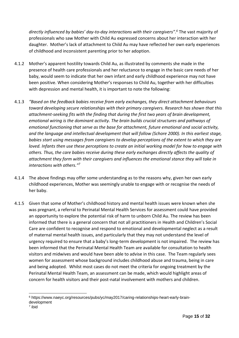*directly influenced by babies' day-to-day interactions with their caregivers". <sup>6</sup>* The vast majority of professionals who saw Mother with Child Au expressed concerns about her interaction with her daughter. Mother's lack of attachment to Child Au may have reflected her own early experiences of childhood and inconsistent parenting prior to her adoption.

- 4.1.2 Mother's apparent hostility towards Child Au, as illustrated by comments she made in the presence of health care professionals and her reluctance to engage in the basic care needs of her baby, would seem to indicate that her own infant and early childhood experience may not have been positive. When considering Mother's responses to Child Au, together with her difficulties with depression and mental health, it is important to note the following:
- 4.1.3 *"Based on the feedback babies receive from early exchanges, they direct attachment behaviours toward developing secure relationships with their primary caregivers. Research has shown that this attachment-seeking fits with the finding that during the first two years of brain development, emotional wiring is the dominant activity. The brain builds crucial structures and pathways of emotional functioning that serve as the base for attachment, future emotional and social activity, and the language and intellectual development that will follow (Schore 2000). In this earliest stage, babies start using messages from caregivers to develop perceptions of the extent to which they are loved. Infants then use these perceptions to create an initial working model for how to engage with others. Thus, the care babies receive during these early exchanges directly affects the quality of attachment they form with their caregivers and influences the emotional stance they will take in interactions with others." 7*
- 4.1.4 The above findings may offer some understanding as to the reasons why, given her own early childhood experiences, Mother was seemingly unable to engage with or recognise the needs of her baby.
- 4.1.5 Given that some of Mother's childhood history and mental health issues were known when she was pregnant, a referral to Perinatal Mental Health Services for assessment could have provided an opportunity to explore the potential risk of harm to unborn Child Au. The review has been informed that there is a general concern that not all practitioners in Health and Children's Social Care are confident to recognise and respond to emotional and developmental neglect as a result of maternal mental health issues, and particularly that they may not understand the level of urgency required to ensure that a baby's long-term development is not impaired. The review has been informed that the Perinatal Mental Health Team are available for consultation to health visitors and midwives and would have been able to advise in this case. The Team regularly sees women for assessment whose background includes childhood abuse and trauma, being in care and being adopted. Whilst most cases do not meet the criteria for ongoing treatment by the Perinatal Mental Health Team, an assessment can be made, which would highlight areas of concern for health visitors and their post-natal involvement with mothers and children.

<sup>6</sup> https://www.naeyc.org/resources/pubs/yc/may2017/caring-relationships-heart-early-braindevelopment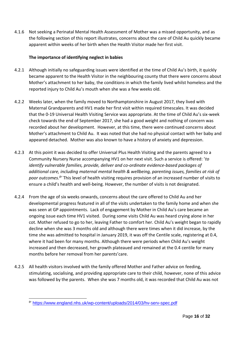4.1.6 Not seeking a Perinatal Mental Health Assessment of Mother was a missed opportunity, and as the following section of this report illustrates, concerns about the care of Child Au quickly became apparent within weeks of her birth when the Health Visitor made her first visit.

## **The importance of identifying neglect in babies**

- 4.2.1 Although initially no safeguarding issues were identified at the time of Child Au's birth, it quickly became apparent to the Health Visitor in the neighbouring county that there were concerns about Mother's attachment to her baby, the conditions in which the family lived whilst homeless and the reported injury to Child Au's mouth when she was a few weeks old.
- 4.2.2 Weeks later, when the family moved to Northamptonshire in August 2017, they lived with Maternal Grandparents and HV1 made her first visit within required timescales. It was decided that the 0-19 Universal Health Visiting Service was appropriate. At the time of Child Au's six-week check towards the end of September 2017, she had a good weight and nothing of concern was recorded about her development. However, at this time, there were continued concerns about Mother's attachment to Child Au. It was noted that she had no physical contact with her baby and appeared detached. Mother was also known to have a history of anxiety and depression.
- 4.2.3 At this point it was decided to offer Universal Plus Health Visiting and the parents agreed to a Community Nursery Nurse accompanying HV1 on her next visit. Such a service is offered: '*to identify vulnerable families, provide, deliver and co-ordinate evidence-based packages of additional care, including maternal mental health & wellbeing, parenting issues, families at risk of poor outcomes.<sup>8</sup> '* This level of health visiting requires provision of an increased number of visits to ensure a child's health and well-being. However, the number of visits is not designated.
- 4.2.4 From the age of six weeks onwards, concerns about the care offered to Child Au and her developmental progress featured in all of the visits undertaken to the family home and when she was seen at GP appointments. Lack of engagement by Mother in Child Au's care became an ongoing issue each time HV1 visited. During some visits Child Au was heard crying alone in her cot. Mother refused to go to her, leaving Father to comfort her. Child Au's weight began to rapidly decline when she was 3 months old and although there were times when it did increase, by the time she was admitted to hospital in January 2019, it was off the Centile scale, registering at 0.4, where it had been for many months. Although there were periods when Child Au's weight increased and then decreased, her growth plateaued and remained at the 0.4 centile for many months before her removal from her parents'care.
- 4.2.5 All health visitors involved with the family offered Mother and Father advice on feeding, stimulating, socialising, and providing appropriate care to their child, however, none of this advice was followed by the parents. When she was 7 months old, it was recorded that Child Au was not

<sup>&</sup>lt;sup>8</sup> <https://www.england.nhs.uk/wp-content/uploads/2014/03/hv-serv-spec.pdf>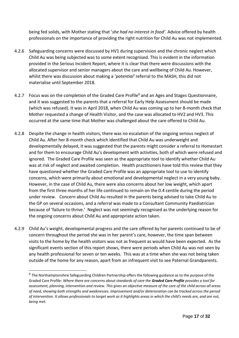being fed solids, with Mother stating that '*she had no interest in food'*. Advice offered by health professionals on the importance of providing the right nutrition for Child Au was not implemented.

- 4.2.6 Safeguarding concerns were discussed by HV1 during supervision and the chronic neglect which Child Au was being subjected was to some extent recognised. This is evident in the information provided in the Serious Incident Report, where it is clear that there were discussions with the allocated supervisor and senior managers about the care and wellbeing of Child Au. However, whilst there was discussion about making a '*potential'* referral to the MASH, this did not materialise until September 2018.
- 4.2.7 Focus was on the completion of the Graded Care Profile<sup>9</sup> and an Ages and Stages Questionnaire, and it was suggested to the parents that a referral for Early Help Assessment should be made (which was refused). It was in April 2018, when Child Au was coming up to her 8-month check that Mother requested a change of Health Visitor, and the case was allocated to HV2 and HV3. This occurred at the same time that Mother was challenged about the care offered to Child Au.
- 4.2.8 Despite the change in health visitors, there was no escalation of the ongoing serious neglect of Child Au. After her 8-month check which identified that Child Au was underweight and developmentally delayed, it was suggested that the parents might consider a referral to Homestart and for them to encourage Child Au's development with activities, both of which were refused and ignored. The Graded Care Profile was seen as the appropriate tool to identify whether Child Au was at risk of neglect and awaited completion. Health practitioners have told this review that they have questioned whether the Graded Care Profile was an appropriate tool to use to identify concerns, which were primarily about emotional and developmental neglect in a very young baby. However, in the case of Child Au, there were also concerns about her low weight, which apart from the first three months of her life continued to remain on the 0.4 centile during the period under review. Concern about Child Au resulted in the parents being advised to take Child Au to the GP on several occasions, and a referral was made to a Consultant Community Paediatrician because of 'failure to thrive.' Neglect was not seemingly recognised as the underlying reason for the ongoing concerns about Child Au and appropriate action taken.
- 4.2.9 Child Au's weight, developmental progress and the care offered by her parents continued to be of concern throughout the period she was in her parent's care, however, the time span between visits to the home by the health visitors was not as frequent as would have been expected. As the significant events section of this report shows, there were periods when Child Au was not seen by any health professional for seven or ten weeks. This was at a time when she was not being taken outside of the home for any reason, apart from an infrequent visit to see Paternal Grandparents.

<sup>&</sup>lt;sup>9</sup> The Northamptonshire Safeguarding Children Partnership offers the following guidance as to the purpose of the Graded Care Profile: *Where there are concerns about standards of care the Graded Care Profile provides a tool for assessment, planning, intervention and review. This gives an objective measure of the care of the child across all areas of need, showing both strengths and weaknesses. Improvement and/or deterioration can be tracked across the period of intervention. It allows professionals to target work as it highlights areas in which the child's needs are, and are not, being met.*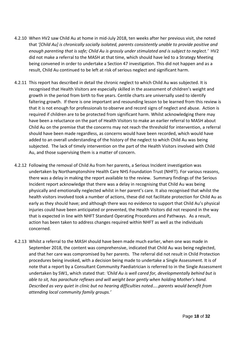- 4.2.10 When HV2 saw Child Au at home in mid-July 2018, ten weeks after her previous visit, she noted that *'[Child Au] is chronically socially isolated, parents consistently unable to provide positive and enough parenting that is safe; Child Au is grossly under stimulated and is subject to neglect.'* HV2 did not make a referral to the MASH at that time, which should have led to a Strategy Meeting being convened in order to undertake a Section 47 investigation. This did not happen and as a result, Child Au continued to be left at risk of serious neglect and significant harm.
- 4.2.11 This report has described in detail the chronic neglect to which Child Au was subjected. It is recognised that Health Visitors are especially skilled in the assessment of children's weight and growth in the period from birth to five years. Centile charts are universally used to identify faltering growth. If there is one important and resounding lesson to be learned from this review is that it is not enough for professionals to observe and record signs of neglect and abuse. Action is required if children are to be protected from significant harm. Whilst acknowledging there may have been a reluctance on the part of Health Visitors to make an earlier referral to MASH about Child Au on the premise that the concerns may not reach the threshold for intervention, a referral should have been made regardless, as concerns would have been recorded, which would have added to an overall understanding of the history of the neglect to which Child Au was being subjected. The lack of timely intervention on the part of the Health Visitors involved with Child Au, and those supervising them is a matter of concern.
- 4.2.12 Following the removal of Child Au from her parents, a Serious Incident investigation was undertaken by Northamptonshire Health Care NHS Foundation Trust (NHFT). For various reasons, there was a delay in making the report available to the review. Summary findings of the Serious Incident report acknowledge that there was a delay in recognising that Child Au was being physically and emotionally neglected whilst in her parent's care. It also recognised that whilst the health visitors involved took a number of actions, these did not facilitate protection for Child Au as early as they should have; and although there was no evidence to support that Child Au's physical injuries could have been anticipated or prevented, the Health Visitors did not respond in the way that is expected in line with NHFT Standard Operating Procedures and Pathways. As a result, action has been taken to address changes required within NHFT as well as the individuals concerned.
- 4.2.13 Whilst a referral to the MASH should have been made much earlier, when one was made in September 2018, the content was comprehensive, indicated that Child Au was being neglected, and that her care was compromised by her parents. The referral did not result in Child Protection procedures being invoked, with a decision being made to undertake a Single Assessment. It is of note that a report by a Consultant Community Paediatrician is referred to in the Single Assessment undertaken by SW1, which stated that: *'Child Au is well cared for, developmentally behind but is able to sit, has parachute reflexes and will weight bear gently when holding Mother's hand. Described as very quiet in clinic but no hearing difficulties noted…..parents would benefit from attending local community family groups.'*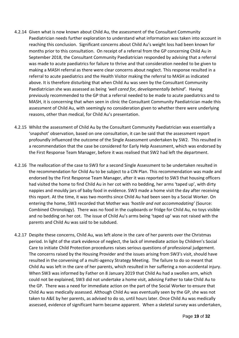- 4.2.14 Given what is now known about Child Au, the assessment of the Consultant Community Paediatrician needs further exploration to understand what information was taken into account in reaching this conclusion. Significant concerns about Child Au's weight loss had been known for months prior to this consultation. On receipt of a referral from the GP concerning Child Au in September 2018, the Consultant Community Paediatrician responded by advising that a referral was made to acute paediatrics for failure to thrive and that consideration needed to be given to making a MASH referral as there were clear concerns about neglect. This response resulted in a referral to acute paediatrics and the Health Visitor making the referral to MASH as indicated above. It is therefore disturbing that when Child Au was seen by the Consultant Community Paediatrician she was assessed as being *'well cared for, developmentally behind'.* Having previously recommended to the GP that a referral needed to be made to acute paediatrics and to MASH, it is concerning that when seen in clinic the Consultant Community Paediatrician made this assessment of Child Au, with seemingly no consideration given to whether there were underlying reasons, other than medical, for Child Au's presentation.
- 4.2.15 Whilst the assessment of Child Au by the Consultant Community Paediatrician was essentially a 'snapshot' observation, based on one consultation, it can be said that the assessment report profoundly influenced the outcome of the Single Assessment undertaken by SW2. This resulted in a recommendation that the case be considered for Early Help Assessment, which was endorsed by the First Response Team Manager, before it was realised that SW2 had left the department.
- 4.2.16 The reallocation of the case to SW3 for a second Single Assessment to be undertaken resulted in the recommendation for Child Au to be subject to a CIN Plan. This recommendation was made and endorsed by the First Response Team Manager, after it was reported to SW3 that housing officers had visited the home to find Child Au in her cot with no bedding, her arms 'taped up', with dirty nappies and mouldy jars of baby food in evidence. SW3 made a home visit the day after receiving this report. At the time, it was two months since Child Au had been seen by a Social Worker. On entering the home, SW3 recorded that Mother was *'hostile and not accommodating'* (Source: Combined Chronology). There was no food in the cupboards or fridge for Child Au, no toys visible and no bedding on her cot. The issue of Child Au's arms being 'taped up' was not raised with the parents and Child Au was said to be subdued.
- 4.2.17 Despite these concerns, Child Au, was left alone in the care of her parents over the Christmas period. In light of the stark evidence of neglect, the lack of immediate action by Children's Social Care to initiate Child Protection procedures raises serious questions of professional judgement. The concerns raised by the Housing Provider and the issues arising from SW3's visit, should have resulted in the convening of a multi-agency Strategy Meeting. The failure to do so meant that Child Au was left in the care of her parents, which resulted in her suffering a non-accidental injury. When SW3 was informed by Father on 8 January 2019 that Child Au had a swollen arm, which could not be explained, SW3 did not undertake a home visit, advising Father to take Child Au to the GP. There was a need for immediate action on the part of the Social Worker to ensure that Child Au was medically assessed. Although Child Au was eventually seen by the GP, she was not taken to A&E by her parents, as advised to do so, until hours later. Once Child Au was medically assessed, evidence of significant harm became apparent. When a skeletal survey was undertaken,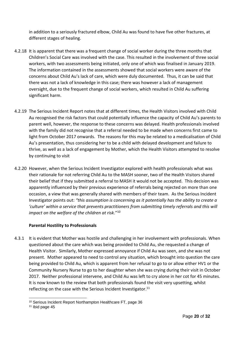in addition to a seriously fractured elbow, Child Au was found to have five other fractures, at different stages of healing.

- 4.2.18 It is apparent that there was a frequent change of social worker during the three months that Children's Social Care was involved with the case. This resulted in the involvement of three social workers, with two assessments being initiated, only one of which was finalised in January 2019. The information contained in the assessments showed that social workers were aware of the concerns about Child Au's lack of care, which were duly documented. Thus, it can be said that there was not a lack of knowledge in this case; there was however a lack of management oversight, due to the frequent change of social workers, which resulted in Child Au suffering significant harm.
- 4.2.19 The Serious Incident Report notes that at different times, the Health Visitors involved with Child Au recognised the risk factors that could potentially influence the capacity of Child Au's parents to parent well, however, the response to these concerns was delayed. Health professionals involved with the family did not recognise that a referral needed to be made when concerns first came to light from October 2017 onwards. The reasons for this may be related to a medicalisation of Child Au's presentation, thus considering her to be a child with delayed development and failure to thrive, as well as a lack of engagement by Mother, which the Health Visitors attempted to resolve by continuing to visit
- 4.2.20 However, when the Serious Incident Investigator explored with health professionals what was their rationale for not referring Child Au to the MASH sooner, two of the Health Visitors shared their belief that if they submitted a referral to MASH it would not be accepted. This decision was apparently influenced by their previous experience of referrals being rejected on more than one occasion, a view that was generally shared with members of their team. As the Serious Incident Investigator points out: *"this assumption is concerning as it potentially has the ability to create a 'culture' within a service that prevents practitioners from submitting timely referrals and this will impact on the welfare of the children at risk*."<sup>10</sup>

## **Parental Hostility to Professionals**

4.3.1 It is evident that Mother was hostile and challenging in her involvement with professionals. When questioned about the care which was being provided to Child Au, she requested a change of Health Visitor. Similarly, Mother expressed annoyance if Child Au was seen, and she was not present. Mother appeared to need to control any situation, which brought into question the care being provided to Child Au, which is apparent from her refusal to go to or allow either HV1 or the Community Nursery Nurse to go to her daughter when she was crying during their visit in October 2017. Neither professional intervene, and Child Au was left to cry alone in her cot for 45 minutes. It is now known to the review that both professionals found the visit very upsetting, whilst reflecting on the case with the Serious Incident Investigator.<sup>11</sup>

<sup>10</sup> Serious Incident Report Northampton Healthcare FT, page 36

<sup>11</sup> Ibid page 45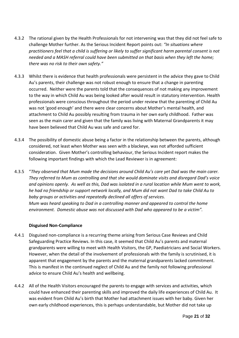- 4.3.2 The rational given by the Health Professionals for not intervening was that they did not feel safe to challenge Mother further. As the Serious Incident Report points out: *"In situations where practitioners feel that a child is suffering or likely to suffer significant harm parental consent is not needed and a MASH referral could have been submitted on that basis when they left the home; there was no risk to their own safety."*
- 4.3.3 Whilst there is evidence that health professionals were persistent in the advice they gave to Child Au's parents, their challenge was not robust enough to ensure that a change in parenting occurred. Neither were the parents told that the consequences of not making any improvement to the way in which Child Au was being looked after would result in statutory intervention. Health professionals were conscious throughout the period under review that the parenting of Child Au was not 'good enough' and there were clear concerns about Mother's mental health, and attachment to Child Au possibly resulting from trauma in her own early childhood. Father was seen as the main carer and given that the family was living with Maternal Grandparents it may have been believed that Child Au was safe and cared for.
- 4.3.4 The possibility of domestic abuse being a factor in the relationship between the parents, although considered, not least when Mother was seen with a blackeye, was not afforded sufficient consideration. Given Mother's controlling behaviour, the Serious Incident report makes the following important findings with which the Lead Reviewer is in agreement:
- 4.3.5 "*They observed that Mum made the decisions around Child Au's care yet Dad was the main carer. They referred to Mum as controlling and that she would dominate visits and disregard Dad's voice and opinions openly. As well as this, Dad was isolated in a rural location while Mum went to work, he had no friendship or support network locally, and Mum did not want Dad to take Child Au to baby groups or activities and repeatedly declined all offers of services. Mum was heard speaking to Dad in a controlling manner and appeared to control the home environment. Domestic abuse was not discussed with Dad who appeared to be a victim".*

## **Disguised Non-Compliance**

- 4.4.1 Disguised non-compliance is a recurring theme arising from Serious Case Reviews and Child Safeguarding Practice Reviews. In this case, it seemed that Child Au's parents and maternal grandparents were willing to meet with Health Visitors, the GP, Paediatricians and Social Workers. However, when the detail of the involvement of professionals with the family is scrutinised, it is apparent that engagement by the parents and the maternal grandparents lacked commitment. This is manifest in the continued neglect of Child Au and the family not following professional advice to ensure Child Au's health and wellbeing.
- 4.4.2 All of the Health Visitors encouraged the parents to engage with services and activities, which could have enhanced their parenting skills and improved the daily life experiences of Child Au. It was evident from Child Au's birth that Mother had attachment issues with her baby. Given her own early childhood experiences, this is perhaps understandable, but Mother did not take up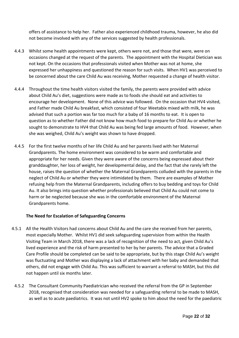offers of assistance to help her. Father also experienced childhood trauma, however, he also did not become involved with any of the services suggested by health professionals.

- 4.4.3 Whilst some health appointments were kept, others were not, and those that were, were on occasions changed at the request of the parents. The appointment with the Hospital Dietician was not kept. On the occasions that professionals visited when Mother was not at home, she expressed her unhappiness and questioned the reason for such visits. When HV1 was perceived to be concerned about the care Child Au was receiving, Mother requested a change of health visitor.
- 4.4.4 Throughout the time health visitors visited the family, the parents were provided with advice about Child Au's diet, suggestions were made as to foods she should eat and activities to encourage her development. None of this advice was followed. On the occasion that HV4 visited, and Father made Child Au breakfast, which consisted of four Weetabix mixed with milk, he was advised that such a portion was far too much for a baby of 16 months to eat. It is open to question as to whether Father did not know how much food to prepare for Child Au or whether he sought to demonstrate to HV4 that Child Au was being fed large amounts of food. However, when she was weighed, Child Au's weight was shown to have dropped.
- 4.4.5 For the first twelve months of her life Child Au and her parents lived with her Maternal Grandparents. The home environment was considered to be warm and comfortable and appropriate for her needs. Given they were aware of the concerns being expressed about their granddaughter, her loss of weight, her developmental delay, and the fact that she rarely left the house, raises the question of whether the Maternal Grandparents colluded with the parents in the neglect of Child Au or whether they were intimidated by them. There are examples of Mother refusing help from the Maternal Grandparents, including offers to buy bedding and toys for Child Au. It also brings into question whether professionals believed that Child Au could not come to harm or be neglected because she was in the comfortable environment of the Maternal Grandparents home.

## **The Need for Escalation of Safeguarding Concerns**

- 4.5.1 All the Health Visitors had concerns about Child Au and the care she received from her parents, most especially Mother. Whilst HV1 did seek safeguarding supervision from within the Health Visiting Team in March 2018, there was a lack of recognition of the need to act, given Child Au's lived experience and the risk of harm presented to her by her parents. The advice that a Graded Care Profile should be completed can be said to be appropriate, but by this stage Child Au's weight was fluctuating and Mother was displaying a lack of attachment with her baby and demanded that others, did not engage with Child Au. This was sufficient to warrant a referral to MASH, but this did not happen until six months later.
	- 4.5.2 The Consultant Community Paediatrician who received the referral from the GP in September 2018, recognised that consideration was needed for a safeguarding referral to be made to MASH, as well as to acute paediatrics. It was not until HV2 spoke to him about the need for the paediatric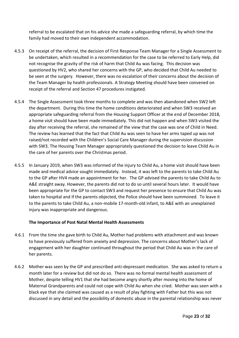referral to be escalated that on his advice she made a safeguarding referral, by which time the family had moved to their own independent accommodation.

- 4.5.3 On receipt of the referral, the decision of First Response Team Manager for a Single Assessment to be undertaken, which resulted in a recommendation for the case to be referred to Early Help, did not recognise the gravity of the risk of harm that Child Au was facing. This decision was questioned by HV2, who shared her concerns with the GP, who decided that Child Au needed to be seen at the surgery. However, there was no escalation of their concerns about the decision of the Team Manager by health professionals. A Strategy Meeting should have been convened on receipt of the referral and Section 47 procedures instigated.
- 4.5.4 The Single Assessment took three months to complete and was then abandoned when SW2 left the department. During this time the home conditions deteriorated and when SW3 received an appropriate safeguarding referral from the Housing Support Officer at the end of December 2018, a home visit should have been made immediately. This did not happen and when SW3 visited the day after receiving the referral, she remained of the view that the case was one of Child in Need. The review has learned that the fact that Child Au was seen to have her arms taped up was not raised/not recorded with the Children's Social Care Manager during the supervision discussion with SW3. The Housing Team Manager appropriately questioned the decision to leave Child Au in the care of her parents over the Christmas period.
- 4.5.5 In January 2019, when SW3 was informed of the injury to Child Au, a home visit should have been made and medical advice sought immediately. Instead, it was left to the parents to take Child Au to the GP after HV4 made an appointment for her. The GP advised the parents to take Child Au to A&E straight away. However, the parents did not to do so until several hours later. It would have been appropriate for the GP to contact SW3 and request her presence to ensure that Child Au was taken to hospital and if the parents objected, the Police should have been summoned. To leave it to the parents to take Child Au, a non-mobile 17-month-old infant, to A&E with an unexplained injury was inappropriate and dangerous.

## **The Importance of Post Natal Mental Health Assessments**

- 4.6.1 From the time she gave birth to Child Au, Mother had problems with attachment and was known to have previously suffered from anxiety and depression. The concerns about Mother's lack of engagement with her daughter continued throughout the period that Child Au was in the care of her parents.
- 4.6.2 Mother was seen by the GP and prescribed anti-depressant medication. She was asked to return a month later for a review but did not do so. There was no formal mental health assessment of Mother, despite telling HV1 that she had become angry shortly after moving into the home of Maternal Grandparents and could not cope with Child Au when she cried. Mother was seen with a black eye that she claimed was caused as a result of play fighting with Father but this was not discussed in any detail and the possibility of domestic abuse in the parental relationship was never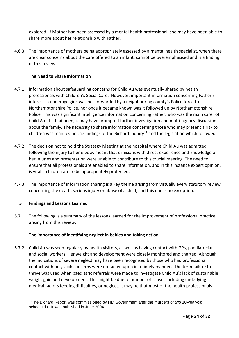explored. If Mother had been assessed by a mental health professional, she may have been able to share more about her relationship with Father.

4.6.3 The importance of mothers being appropriately assessed by a mental health specialist, when there are clear concerns about the care offered to an infant, cannot be overemphasised and is a finding of this review.

## **The Need to Share Information**

- 4.7.1 Information about safeguarding concerns for Child Au was eventually shared by health professionals with Children's Social Care. However, important information concerning Father's interest in underage girls was not forwarded by a neighbouring county's Police force to Northamptonshire Police, nor once it became known was it followed up by Northamptonshire Police. This was significant intelligence information concerning Father, who was the main carer of Child Au. If it had been, it may have prompted further investigation and multi-agency discussion about the family. The necessity to share information concerning those who may present a risk to children was manifest in the findings of the Bichard Inquiry<sup>12</sup> and the legislation which followed.
- 4.7.2 The decision not to hold the Strategy Meeting at the hospital where Child Au was admitted following the injury to her elbow, meant that clinicians with direct experience and knowledge of her injuries and presentation were unable to contribute to this crucial meeting. The need to ensure that all professionals are enabled to share information, and in this instance expert opinion, is vital if children are to be appropriately protected.
- 4.7.3 The importance of information sharing is a key theme arising from virtually every statutory review concerning the death, serious injury or abuse of a child, and this one is no exception.

## **5 Findings and Lessons Learned**

5.7.1 The following is a summary of the lessons learned for the improvement of professional practice arising from this review:

## **The importance of identifying neglect in babies and taking action**

5.7.2 Child Au was seen regularly by health visitors, as well as having contact with GPs, paediatricians and social workers. Her weight and development were closely monitored and charted. Although the indications of severe neglect may have been recognised by those who had professional contact with her, such concerns were not acted upon in a timely manner. The term failure to thrive was used when paediatric referrals were made to investigate Child Au's lack of sustainable weight gain and development. This might be due to number of causes including underlying medical factors feeding difficulties, or neglect. It may be that most of the health professionals

<sup>&</sup>lt;sup>12</sup>The Bichard Report was commissioned by HM Government after the murders of two 10-year-old schoolgirls. It was published in June 2004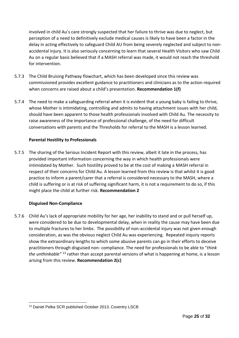involved in child Au's care strongly suspected that her failure to thrive was due to neglect, but perception of a need to definitively exclude medical causes is likely to have been a factor in the delay in acting effectively to safeguard Child AU from being severely neglected and subject to nonaccidental injury. It is also seriously concerning to learn that several Health Visitors who saw Child Au on a regular basis believed that if a MASH referral was made, it would not reach the threshold for intervention.

- 5.7.3 The Child Bruising Pathway flowchart, which has been developed since this review was commissioned provides excellent guidance to practitioners and clinicians as to the action required when concerns are raised about a child's presentation. **Recommendation 1(f)**
- 5.7.4 The need to make a safeguarding referral when it is evident that a young baby is failing to thrive, whose Mother is intimidating, controlling and admits to having attachment issues with her child, should have been apparent to those health professionals involved with Child Au. The necessity to raise awareness of the importance of professional challenge, of the need for difficult conversations with parents and the Thresholds for referral to the MASH is a lesson learned.

## **Parental Hostility to Professionals**

5.7.5 The sharing of the Serious Incident Report with this review, albeit it late in the process, has provided important information concerning the way in which health professionals were intimidated by Mother. Such hostility proved to be at the cost of making a MASH referral in respect of their concerns for Child Au. A lesson learned from this review is that whilst it is good practice to inform a parent/carer that a referral is considered necessary to the MASH, where a child is suffering or is at risk of suffering significant harm, it is not a requirement to do so, if this might place the child at further risk. **Recommendation 2**

## **Disguised Non-Compliance**

5.7.6 Child Au's lack of appropriate mobility for her age, her inability to stand and or pull herself up, were considered to be due to developmental delay, when in reality the cause may have been due to multiple fractures to her limbs. The possibility of non-accidental injury was not given enough consideration, as was the obvious neglect Child Au was experiencing. Repeated inquiry reports show the extraordinary lengths to which some abusive parents can go in their efforts to deceive practitioners through disguised non- compliance. The need for professionals to be able to "*think the unthinkable"* <sup>13</sup> rather than accept parental versions of what is happening at home, is a lesson arising from this review. **Recommendation 2(c)**

<sup>13</sup> Daniel Pelka SCR published October 2013, Coventry LSCB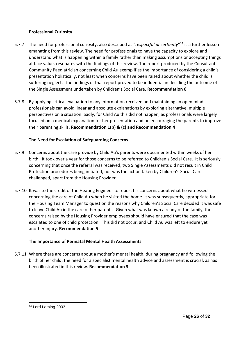## **Professional Curiosity**

- 5.7.7 The need for professional curiosity, also described as "*respectful uncertainty*"<sup>14</sup> is a further lesson emanating from this review. The need for professionals to have the capacity to explore and understand what is happening within a family rather than making assumptions or accepting things at face value, resonates with the findings of this review. The report produced by the Consultant Community Paediatrician concerning Child Au exemplifies the importance of considering a child's presentation holistically, not least when concerns have been raised about whether the child is suffering neglect. The findings of that report proved to be influential in deciding the outcome of the Single Assessment undertaken by Children's Social Care. **Recommendation 6**
- 5.7.8 By applying critical evaluation to any information received and maintaining an open mind, professionals can avoid linear and absolute explanations by exploring alternative, multiple perspectives on a situation. Sadly, for Child Au this did not happen, as professionals were largely focused on a medical explanation for her presentation and on encouraging the parents to improve their parenting skills. **Recommendation 1(b) & (c) and Recommendation 4**

## **The Need for Escalation of Safeguarding Concerns**

- 5.7.9 Concerns about the care provide by Child Au's parents were documented within weeks of her birth. It took over a year for those concerns to be referred to Children's Social Care. It is seriously concerning that once the referral was received, two Single Assessments did not result in Child Protection procedures being initiated, nor was the action taken by Children's Social Care challenged, apart from the Housing Provider.
- 5.7.10 It was to the credit of the Heating Engineer to report his concerns about what he witnessed concerning the care of Child Au when he visited the home. It was subsequently, appropriate for the Housing Team Manager to question the reasons why Children's Social Care decided it was safe to leave Child Au in the care of her parents. Given what was known already of the family, the concerns raised by the Housing Provider employees should have ensured that the case was escalated to one of child protection. This did not occur, and Child Au was left to endure yet another injury. **Recommendation 5**

## **The Importance of Perinatal Mental Health Assessments**

5.7.11 Where there are concerns about a mother's mental health, during pregnancy and following the birth of her child, the need for a specialist mental health advice and assessment is crucial, as has been illustrated in this review. **Recommendation 3**

<sup>14</sup> Lord Laming 2003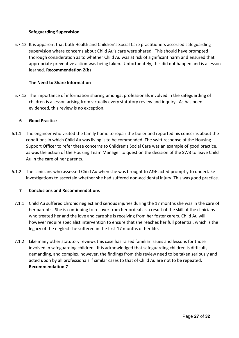## **Safeguarding Supervision**

5.7.12 It is apparent that both Health and Children's Social Care practitioners accessed safeguarding supervision where concerns about Child Au's care were shared. This should have prompted thorough consideration as to whether Child Au was at risk of significant harm and ensured that appropriate preventive action was being taken. Unfortunately, this did not happen and is a lesson learned. **Recommendation 2(b)**

## **The Need to Share Information**

5.7.13 The importance of information sharing amongst professionals involved in the safeguarding of children is a lesson arising from virtually every statutory review and inquiry. As has been evidenced, this review is no exception.

## **6 Good Practice**

- 6.1.1 The engineer who visited the family home to repair the boiler and reported his concerns about the conditions in which Child Au was living is to be commended. The swift response of the Housing Support Officer to refer these concerns to Children's Social Care was an example of good practice, as was the action of the Housing Team Manager to question the decision of the SW3 to leave Child Au in the care of her parents.
- 6.1.2 The clinicians who assessed Child Au when she was brought to A&E acted promptly to undertake investigations to ascertain whether she had suffered non-accidental injury. This was good practice.

## **7 Conclusions and Recommendations**

- 7.1.1 Child Au suffered chronic neglect and serious injuries during the 17 months she was in the care of her parents. She is continuing to recover from her ordeal as a result of the skill of the clinicians who treated her and the love and care she is receiving from her foster carers. Child Au will however require specialist intervention to ensure that she reaches her full potential, which is the legacy of the neglect she suffered in the first 17 months of her life.
- 7.1.2 Like many other statutory reviews this case has raised familiar issues and lessons for those involved in safeguarding children. It is acknowledged that safeguarding children is difficult, demanding, and complex, however, the findings from this review need to be taken seriously and acted upon by all professionals if similar cases to that of Child Au are not to be repeated. **Recommendation 7**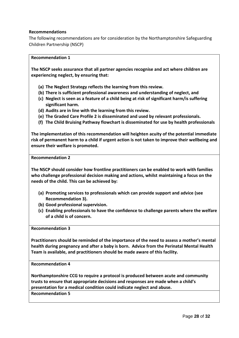## **Recommendations**

The following recommendations are for consideration by the Northamptonshire Safeguarding Children Partnership (NSCP)

#### **Recommendation 1**

**The NSCP seeks assurance that all partner agencies recognise and act where children are experiencing neglect, by ensuring that:**

- **(a) The Neglect Strategy reflects the learning from this review.**
- **(b) There is sufficient professional awareness and understanding of neglect, and**
- **(c) Neglect is seen as a feature of a child being at risk of significant harm/is suffering significant harm.**
- **(d) Audits are in line with the learning from this review.**
- **(e) The Graded Care Profile 2 is disseminated and used by relevant professionals.**
- **(f) The Child Bruising Pathway flowchart is disseminated for use by health professionals**

**The implementation of this recommendation will heighten acuity of the potential immediate risk of permanent harm to a child if urgent action is not taken to improve their wellbeing and ensure their welfare is promoted.**

**Recommendation 2**

**The NSCP should consider how frontline practitioners can be enabled to work with families who challenge professional decision making and actions, whilst maintaining a focus on the needs of the child. This can be achieved by:**

- **(a) Promoting services to professionals which can provide support and advice (see Recommendation 3).**
- **(b) Good professional supervision.**
- **(c) Enabling professionals to have the confidence to challenge parents where the welfare of a child is of concern.**

**Recommendation 3**

**Practitioners should be reminded of the importance of the need to assess a mother's mental health during pregnancy and after a baby is born. Advice from the Perinatal Mental Health Team is available, and practitioners should be made aware of this facility.** 

**Recommendation 4**

**Northamptonshire CCG to require a protocol is produced between acute and community trusts to ensure that appropriate decisions and responses are made when a child's presentation for a medical condition could indicate neglect and abuse.**

**Recommendation 5**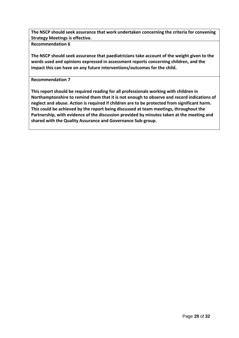**The NSCP should seek assurance that work undertaken concerning the criteria for convening Strategy Meetings is effective.**

**Recommendation 6**

**The NSCP should seek assurance that paediatricians take account of the weight given to the words used and opinions expressed in assessment reports concerning children, and the impact this can have on any future interventions/outcomes for the child.**

**Recommendation 7**

**This report should be required reading for all professionals working with children in Northamptonshire to remind them that it is not enough to observe and record indications of neglect and abuse. Action is required if children are to be protected from significant harm. This could be achieved by the report being discussed at team meetings, throughout the Partnership, with evidence of the discussion provided by minutes taken at the meeting and shared with the Quality Assurance and Governance Sub-group.**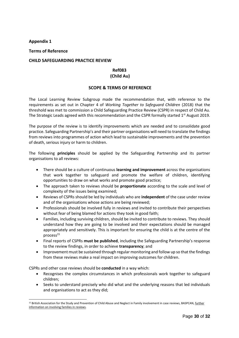#### **Appendix 1**

#### **Terms of Reference**

#### **CHILD SAFEGUARDING PRACTICE REVIEW**

## **Ref083 (Child Au)**

#### **SCOPE & TERMS OF REFERENCE**

The Local Learning Review Subgroup made the recommendation that, with reference to the requirements as set out in Chapter 4 of *Working Together to Safeguard Children* (2018) that the threshold was met to commission a Child Safeguarding Practice Review (CSPR) in respect of Child Au. The Strategic Leads agreed with this recommendation and the CSPR formally started  $1<sup>st</sup>$  August 2019.

The purpose of the review is to identify improvements which are needed and to consolidate good practice. Safeguarding Partnership's and their partner organisations will need to translate the findings from reviews into programmes of action which lead to sustainable improvements and the prevention of death, serious injury or harm to children.

The following **principles** should be applied by the Safeguarding Partnership and its partner organisations to all reviews:

- There should be a culture of continuous **learning and improvement** across the organisations that work together to safeguard and promote the welfare of children, identifying opportunities to draw on what works and promote good practice;
- The approach taken to reviews should be **proportionate** according to the scale and level of complexity of the issues being examined;
- Reviews of CSPRs should be led by individuals who are **independent** of the case under review and of the organisations whose actions are being reviewed;
- Professionals should be involved fully in reviews and invited to contribute their perspectives without fear of being blamed for actions they took in good faith;
- Families, including surviving children, should be invited to contribute to reviews. They should understand how they are going to be involved and their expectations should be managed appropriately and sensitively. This is important for ensuring the child is at the centre of the  $process<sup>15</sup>$
- Final reports of CSPRs **must be published**, including the Safeguarding Partnership's response to the review findings, in order to achieve **transparency**; and
- Improvement must be sustained through regular monitoring and follow up so that the findings from these reviews make a real impact on improving outcomes for children.

CSPRs and other case reviews should be **conducted** in a way which:

- Recognises the complex circumstances in which professionals work together to safeguard children;
- Seeks to understand precisely who did what and the underlying reasons that led individuals and organisations to act as they did;

<sup>&</sup>lt;sup>15</sup> British Association for the Study and Prevention of Child Abuse and Neglect in Family involvement in case reviews, BASPCAN, further information on involving families in reviews.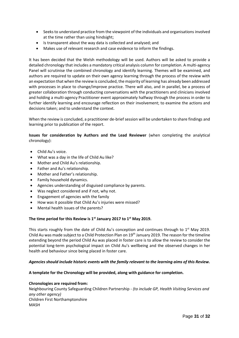- Seeks to understand practice from the viewpoint of the individuals and organisations involved at the time rather than using hindsight;
- Is transparent about the way data is collected and analysed; and
- Makes use of relevant research and case evidence to inform the findings.

It has been decided that the Welsh methodology will be used. Authors will be asked to provide a detailed chronology that includes a mandatory critical analysis column for completion. A multi-agency Panel will scrutinise the combined chronology and identify learning. Themes will be examined, and authors are required to update on their own agency learning through the process of the review with an expectation that when the review is concluded, the majority of learning has already been addressed with processes in place to change/improve practice. There will also, and in parallel, be a process of greater collaboration through conducting conversations with the practitioners and clinicians involved and holding a multi-agency Practitioner event approximately halfway through the process in order to further identify learning and encourage reflection on their involvement; to examine the actions and decisions taken; and to understand the context.

When the review is concluded, a practitioner de-brief session will be undertaken to share findings and learning prior to publication of the report.

**Issues for consideration by Authors and the Lead Reviewer** (when completing the analytical chronology):

- Child Au's voice.
- What was a day in the life of Child Au like?
- Mother and Child Au's relationship.
- Father and Au's relationship.
- Mother and Father's relationship.
- Family household dynamics.
- Agencies understanding of disguised compliance by parents.
- Was neglect considered and if not, why not.
- Engagement of agencies with the family
- How was it possible that Child Au's injuries were missed?
- Mental health issues of the parents?

#### **The time period for this Review is 1st January 2017 to 1st May 2019.**

This starts roughly from the date of Child Au's conception and continues through to  $1<sup>st</sup>$  May 2019. Child Au was made subject to a Child Protection Plan on 19<sup>th</sup> January 2019. The reason for the timeline extending beyond the period Child Au was placed in foster care is to allow the review to consider the potential long-term psychological impact on Child Au's wellbeing and the observed changes in her health and behaviour since being placed in foster care.

#### *Agencies should include historic events with the family relevant to the learning aims of this Review.*

#### **A template for the Chronology will be provided, along with guidance for completion.**

#### **Chronologies are required from:**

Neighbouring County Safeguarding Children Partnership - *(to include GP, Health Visiting Services and any other agency)*  Children First Northamptonshire MASH